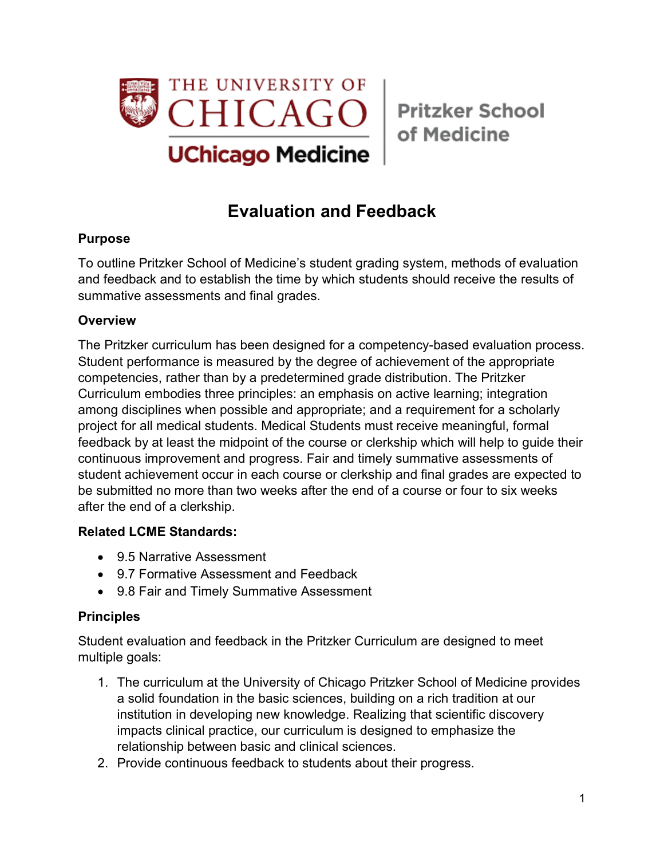

of Medicine

# **Evaluation and Feedback**

#### **Purpose**

To outline Pritzker School of Medicine's student grading system, methods of evaluation and feedback and to establish the time by which students should receive the results of summative assessments and final grades.

### **Overview**

The Pritzker curriculum has been designed for a competency-based evaluation process. Student performance is measured by the degree of achievement of the appropriate competencies, rather than by a predetermined grade distribution. The Pritzker Curriculum embodies three principles: an emphasis on active learning; integration among disciplines when possible and appropriate; and a requirement for a scholarly project for all medical students. Medical Students must receive meaningful, formal feedback by at least the midpoint of the course or clerkship which will help to guide their continuous improvement and progress. Fair and timely summative assessments of student achievement occur in each course or clerkship and final grades are expected to be submitted no more than two weeks after the end of a course or four to six weeks after the end of a clerkship.

#### **Related LCME Standards:**

- 9.5 Narrative Assessment
- 9.7 Formative Assessment and Feedback
- 9.8 Fair and Timely Summative Assessment

#### **Principles**

Student evaluation and feedback in the Pritzker Curriculum are designed to meet multiple goals:

- 1. The curriculum at the University of Chicago Pritzker School of Medicine provides a solid foundation in the basic sciences, building on a rich tradition at our institution in developing new knowledge. Realizing that scientific discovery impacts clinical practice, our curriculum is designed to emphasize the relationship between basic and clinical sciences.
- 2. Provide continuous feedback to students about their progress.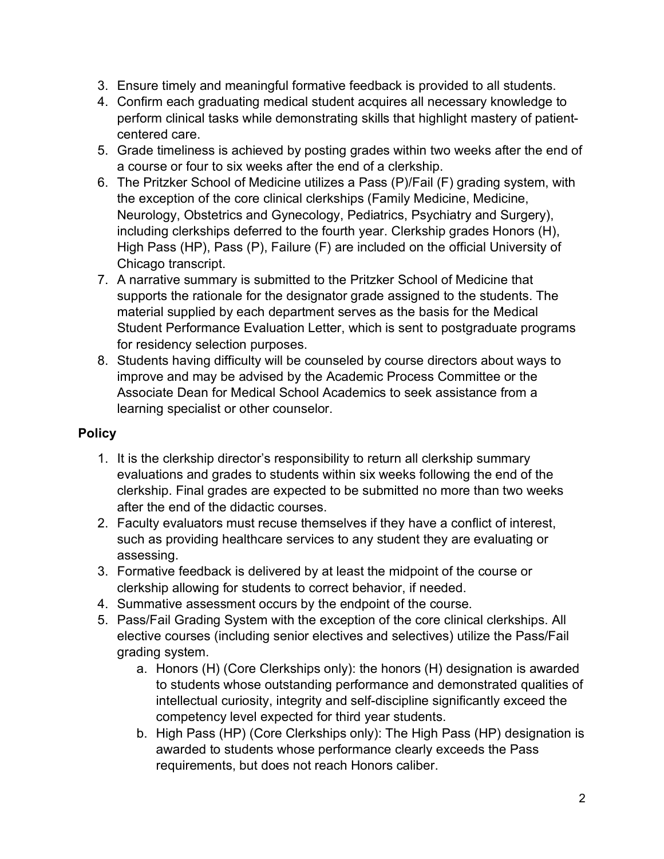- 3. Ensure timely and meaningful formative feedback is provided to all students.
- 4. Confirm each graduating medical student acquires all necessary knowledge to perform clinical tasks while demonstrating skills that highlight mastery of patientcentered care.
- 5. Grade timeliness is achieved by posting grades within two weeks after the end of a course or four to six weeks after the end of a clerkship.
- 6. The Pritzker School of Medicine utilizes a Pass (P)/Fail (F) grading system, with the exception of the core clinical clerkships (Family Medicine, Medicine, Neurology, Obstetrics and Gynecology, Pediatrics, Psychiatry and Surgery), including clerkships deferred to the fourth year. Clerkship grades Honors (H), High Pass (HP), Pass (P), Failure (F) are included on the official University of Chicago transcript.
- 7. A narrative summary is submitted to the Pritzker School of Medicine that supports the rationale for the designator grade assigned to the students. The material supplied by each department serves as the basis for the Medical Student Performance Evaluation Letter, which is sent to postgraduate programs for residency selection purposes.
- 8. Students having difficulty will be counseled by course directors about ways to improve and may be advised by the Academic Process Committee or the Associate Dean for Medical School Academics to seek assistance from a learning specialist or other counselor.

## **Policy**

- 1. It is the clerkship director's responsibility to return all clerkship summary evaluations and grades to students within six weeks following the end of the clerkship. Final grades are expected to be submitted no more than two weeks after the end of the didactic courses.
- 2. Faculty evaluators must recuse themselves if they have a conflict of interest, such as providing healthcare services to any student they are evaluating or assessing.
- 3. Formative feedback is delivered by at least the midpoint of the course or clerkship allowing for students to correct behavior, if needed.
- 4. Summative assessment occurs by the endpoint of the course.
- 5. Pass/Fail Grading System with the exception of the core clinical clerkships. All elective courses (including senior electives and selectives) utilize the Pass/Fail grading system.
	- a. Honors (H) (Core Clerkships only): the honors (H) designation is awarded to students whose outstanding performance and demonstrated qualities of intellectual curiosity, integrity and self-discipline significantly exceed the competency level expected for third year students.
	- b. High Pass (HP) (Core Clerkships only): The High Pass (HP) designation is awarded to students whose performance clearly exceeds the Pass requirements, but does not reach Honors caliber.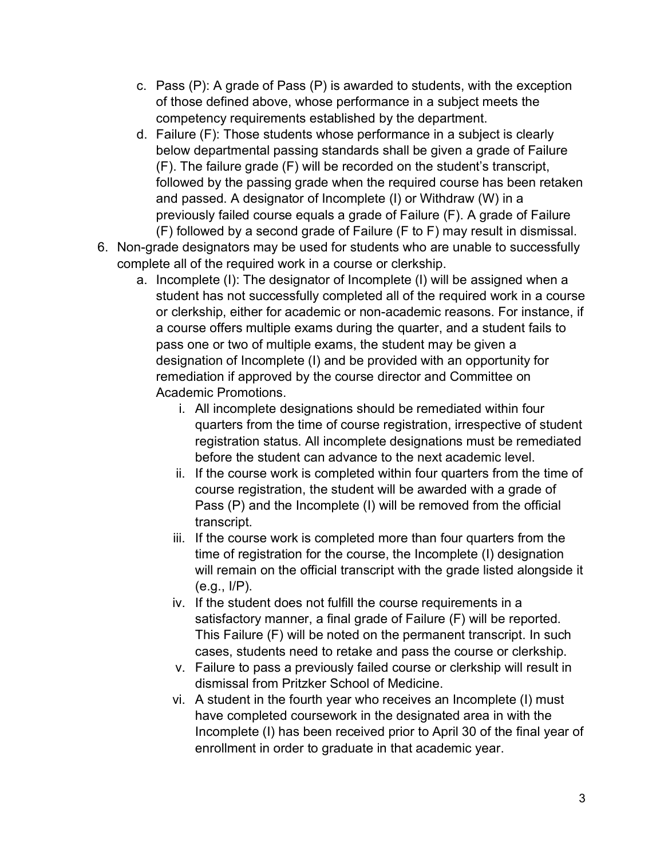- c. Pass (P): A grade of Pass (P) is awarded to students, with the exception of those defined above, whose performance in a subject meets the competency requirements established by the department.
- d. Failure (F): Those students whose performance in a subject is clearly below departmental passing standards shall be given a grade of Failure (F). The failure grade (F) will be recorded on the student's transcript, followed by the passing grade when the required course has been retaken and passed. A designator of Incomplete (I) or Withdraw (W) in a previously failed course equals a grade of Failure (F). A grade of Failure (F) followed by a second grade of Failure (F to F) may result in dismissal.
- 6. Non-grade designators may be used for students who are unable to successfully complete all of the required work in a course or clerkship.
	- a. Incomplete (I): The designator of Incomplete (I) will be assigned when a student has not successfully completed all of the required work in a course or clerkship, either for academic or non-academic reasons. For instance, if a course offers multiple exams during the quarter, and a student fails to pass one or two of multiple exams, the student may be given a designation of Incomplete (I) and be provided with an opportunity for remediation if approved by the course director and Committee on Academic Promotions.
		- i. All incomplete designations should be remediated within four quarters from the time of course registration, irrespective of student registration status. All incomplete designations must be remediated before the student can advance to the next academic level.
		- ii. If the course work is completed within four quarters from the time of course registration, the student will be awarded with a grade of Pass (P) and the Incomplete (I) will be removed from the official transcript.
		- iii. If the course work is completed more than four quarters from the time of registration for the course, the Incomplete (I) designation will remain on the official transcript with the grade listed alongside it (e.g., I/P).
		- iv. If the student does not fulfill the course requirements in a satisfactory manner, a final grade of Failure (F) will be reported. This Failure (F) will be noted on the permanent transcript. In such cases, students need to retake and pass the course or clerkship.
		- v. Failure to pass a previously failed course or clerkship will result in dismissal from Pritzker School of Medicine.
		- vi. A student in the fourth year who receives an Incomplete (I) must have completed coursework in the designated area in with the Incomplete (I) has been received prior to April 30 of the final year of enrollment in order to graduate in that academic year.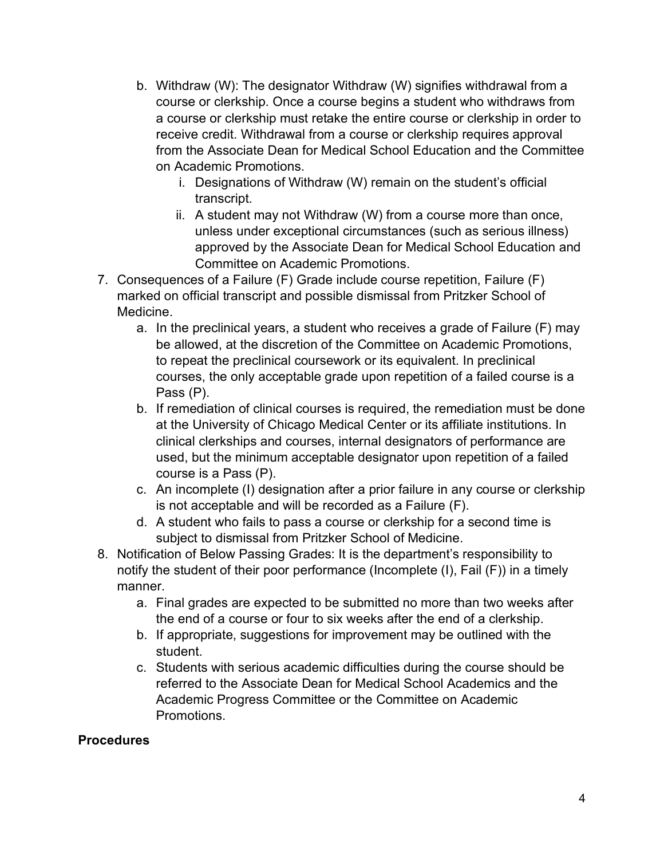- b. Withdraw (W): The designator Withdraw (W) signifies withdrawal from a course or clerkship. Once a course begins a student who withdraws from a course or clerkship must retake the entire course or clerkship in order to receive credit. Withdrawal from a course or clerkship requires approval from the Associate Dean for Medical School Education and the Committee on Academic Promotions.
	- i. Designations of Withdraw (W) remain on the student's official transcript.
	- ii. A student may not Withdraw (W) from a course more than once, unless under exceptional circumstances (such as serious illness) approved by the Associate Dean for Medical School Education and Committee on Academic Promotions.
- 7. Consequences of a Failure (F) Grade include course repetition, Failure (F) marked on official transcript and possible dismissal from Pritzker School of Medicine.
	- a. In the preclinical years, a student who receives a grade of Failure (F) may be allowed, at the discretion of the Committee on Academic Promotions, to repeat the preclinical coursework or its equivalent. In preclinical courses, the only acceptable grade upon repetition of a failed course is a Pass (P).
	- b. If remediation of clinical courses is required, the remediation must be done at the University of Chicago Medical Center or its affiliate institutions. In clinical clerkships and courses, internal designators of performance are used, but the minimum acceptable designator upon repetition of a failed course is a Pass (P).
	- c. An incomplete (I) designation after a prior failure in any course or clerkship is not acceptable and will be recorded as a Failure (F).
	- d. A student who fails to pass a course or clerkship for a second time is subject to dismissal from Pritzker School of Medicine.
- 8. Notification of Below Passing Grades: It is the department's responsibility to notify the student of their poor performance (Incomplete (I), Fail (F)) in a timely manner.
	- a. Final grades are expected to be submitted no more than two weeks after the end of a course or four to six weeks after the end of a clerkship.
	- b. If appropriate, suggestions for improvement may be outlined with the student.
	- c. Students with serious academic difficulties during the course should be referred to the Associate Dean for Medical School Academics and the Academic Progress Committee or the Committee on Academic Promotions.

#### **Procedures**